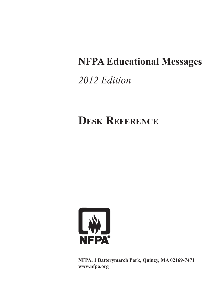# **NFPA Educational Messages**

# *2012 Edition*

# **Desk Reference**



**NFPA, 1 Batterymarch Park, Quincy, MA 02169-7471 www.nfpa.org**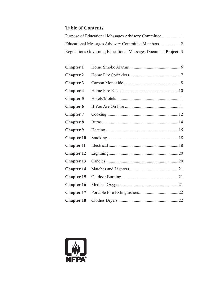## **Table of Contents**

| Regulations Governing Educational Messages Document Project3 |  |
|--------------------------------------------------------------|--|

| <b>Chapter 1</b>  |  |
|-------------------|--|
| <b>Chapter 2</b>  |  |
| <b>Chapter 3</b>  |  |
| <b>Chapter 4</b>  |  |
| <b>Chapter 5</b>  |  |
| <b>Chapter 6</b>  |  |
| <b>Chapter 7</b>  |  |
| <b>Chapter 8</b>  |  |
| <b>Chapter 9</b>  |  |
| <b>Chapter 10</b> |  |
| <b>Chapter 11</b> |  |
| <b>Chapter 12</b> |  |
| <b>Chapter 13</b> |  |
| <b>Chapter 14</b> |  |
| <b>Chapter 15</b> |  |
| <b>Chapter 16</b> |  |
| <b>Chapter 17</b> |  |
| <b>Chapter 18</b> |  |

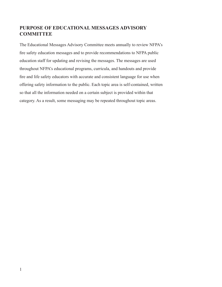## **PURPOSE OF EDUCATIONAL MESSAGES ADVISORY COMMITTEE**

The Educational Messages Advisory Committee meets annually to review NFPA's fire safety education messages and to provide recommendations to NFPA public education staff for updating and revising the messages. The messages are used throughout NFPA's educational programs, curricula, and handouts and provide fire and life safety educators with accurate and consistent language for use when offering safety information to the public. Each topic area is self-contained, written so that all the information needed on a certain subject is provided within that category. As a result, some messaging may be repeated throughout topic areas.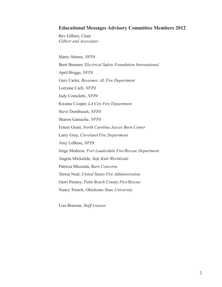#### **Educational Messages Advisory Committee Members 2012**

Bev Gilbert, Chair *Gilbert and Associates*

Marty Ahrens, *NFPA*  Brett Brenner, *Electrical Safety Foundation International*  April Briggs, *NFPA* Gary Carter, *Bessemer, AL Fire Department* Lorraine Carli, *NFPA*  Judy Comoletti, *NFPA* Kwame Cooper, *LA City Fire Department*  Steve Dornbusch, *NFPA*  Sharon Gamache, *NFPA*  Ernest Grant, *North Carolina Jaycee Burn Center*  Larry Gray, *Cleveland Fire Department* Amy LeBeau, *NFPA*  Jorge Mederos, *Fort Lauderdale Fire/Rescue Department* Angela Mickalide, *Safe Kids Worldwide*  Patricia Mieszala, *Burn Concerns*  Teresa Neal, *United States Fire Administration* Gerri Penney, *Palm Beach County Fire/Rescue* Nancy Trench, *Oklahoma State University* 

Lisa Braxton, *Staff Liaison*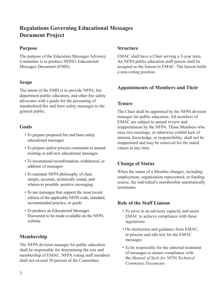# **Regulations Governing Educational Messages Document Project**

## **Purpose**

The purpose of the Education Messages Advisory Committee is to produce NFPA's Educational Messages Document (EMD).

## **Scope**

The intent of the EMD is to provide NFPA, fire department public educators, and other fire safety advocates with a guide for the presenting of standardized fire and burn safety messages to the general public.

### **Goals**

- To prepare proposed fire and burn safety educational messages
- To prepare and/or process comments to amend existing or add new educational messages
- To recommend reconfirmation, withdrawal, or addition of messages
- To maintain NFPA philosophy of clear, simple, accurate, technically sound, and– whenever possible–positive messaging
- To use messages that support the most recent edition of the applicable NFPA code, standard, recommended practice, or guide
- To produce an Educational Messages Document to be made available on the NFPA website

## **Membership**

The NFPA division manager for public education shall be responsible for determining the size and membership of EMAC. NFPA voting staff members shall not exceed 30 percent of the Committee.

#### **Structure**

EMAC shall have a Chair serving a 3-year term. An NFPA public education staff person shall be assigned as the liaison to EMAC. The liaison holds a non-voting position.

## **Appointments of Members and Their**

#### **Tenure**

The Chair shall be appointed by the NFPA division manager for public education. All members of EMAC are subject to annual review and reappointment by the NFPA. Those Members who miss two meetings, or otherwise exhibit lack of interest, knowledge, or responsibility, shall not be reappointed and may be removed for the stated causes at any time.

## **Change of Status**

When the status of a Member changes, including employment, organization represented, or funding source, the individual's membership automatically terminates.

## **Role of the Staff Liaison**

- To serve in an advisory capacity and assist EMAC to achieve compliance with these regulations
- On instruction and guidance from EMAC, to process and edit text for the EMAC messages
- To be responsible for the editorial treatment of messages to ensure compliance with the *Manual of Style for NFPA Technical Committee Documents*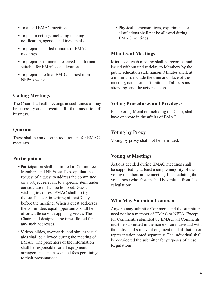- To attend EMAC meetings
- To plan meetings, including meeting notification, agenda, and incidentals
- To prepare detailed minutes of EMAC meetings
- To prepare Comments received in a format suitable for EMAC consideration
- To prepare the final EMD and post it on NFPA's website

# **Calling Meetings**

The Chair shall call meetings at such times as may be necessary and convenient for the transaction of business.

# **Quorum**

There shall be no quorum requirement for EMAC meetings.

## **Participation**

- Participation shall be limited to Committee Members and NFPA staff, except that the request of a guest to address the committee on a subject relevant to a specific item under consideration shall be honored. Guests wishing to address EMAC shall notify the staff liaison in writing at least 7 days before the meeting. When a guest addresses the committee, equal opportunity shall be afforded those with opposing views. The Chair shall designate the time allotted for any such addresses.
- Videos, slides, overheads, and similar visual aids shall be allowed during the meeting of EMAC. The presenters of the information shall be responsible for all equipment arrangements and associated fees pertaining to their presentations.

• Physical demonstrations, experiments or simulations shall not be allowed during EMAC meetings.

## **Minutes of Meetings**

Minutes of each meeting shall be recorded and issued without undue delay to Members by the public education staff liaison. Minutes shall, at a minimum, include the time and place of the meeting, names and affiliations of all persons attending, and the actions taken.

## **Voting Procedures and Privileges**

Each voting Member, including the Chair, shall have one vote in the affairs of EMAC.

## **Voting by Proxy**

Voting by proxy shall not be permitted.

## **Voting at Meetings**

Actions decided during EMAC meetings shall be supported by at least a simple majority of the voting members at the meeting. In calculating the vote, those who abstain shall be omitted from the calculations.

# **Who May Submit a Comment**

Anyone may submit a Comment, and the submitter need not be a member of EMAC or NFPA. Except for Comments submitted by EMAC, all Comments must be submitted in the name of an individual with the individual's relevant organizational affiliation or representation noted separately. The individual shall be considered the submitter for purposes of these Regulations.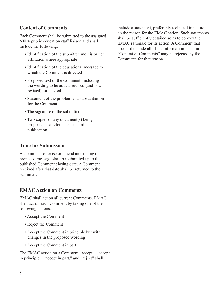## **Content of Comments**

Each Comment shall be submitted to the assigned NFPA public education staff liaison and shall include the following:

- Identification of the submitter and his or her affiliation where appropriate
- Identification of the educational message to which the Comment is directed
- Proposed text of the Comment, including the wording to be added, revised (and how revised), or deleted
- Statement of the problem and substantiation for the Comment
- The signature of the submitter
- Two copies of any document(s) being proposed as a reference standard or publication.

## **Time for Submission**

A Comment to revise or amend an existing or proposed message shall be submitted up to the published Comment closing date. A Comment received after that date shall be returned to the submitter.

## **EMAC Action on Comments**

EMAC shall act on all current Comments. EMAC shall act on each Comment by taking one of the following actions:

- Accept the Comment
- Reject the Comment
- Accept the Comment in principle but with changes in the proposed wording
- Accept the Comment in part

The EMAC action on a Comment "accept," "accept in principle," "accept in part," and "reject" shall

include a statement, preferably technical in nature, on the reason for the EMAC action. Such statements shall be sufficiently detailed so as to convey the EMAC rationale for its action. A Comment that does not include all of the information listed in "Content of Comments" may be rejected by the Committee for that reason.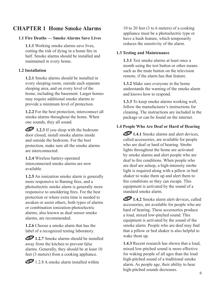# **CHAPTER 1 Home Smoke Alarms**

#### **1.1 Fire Deaths — Smoke Alarms Save Lives**

**1.1.1** Working smoke alarms save lives, cutting the risk of dying in a home fire in half. Smoke alarms should be installed and maintained in every home.

#### **1.2 Installation**

**1.2.1** Smoke alarms should be installed in every sleeping room, outside each separate sleeping area, and on every level of the home, including the basement. Larger homes may require additional smoke alarms to provide a minimum level of protection.

**1.2.2** For the best protection, interconnect all smoke alarms throughout the home. When one sounds, they all sound.

1.2.3 If you sleep with the bedroom door closed, install smoke alarms inside and outside the bedroom. For the best protection, make sure all the smoke alarms are interconnected.

**1.2.4** Wireless battery-operated interconnected smoke alarms are now available.

**1.2.5** An ionization smoke alarm is generally more responsive to flaming fires, and a photoelectric smoke alarm is generally more responsive to smoldering fires. For the best protection or where extra time is needed to awaken or assist others, both types of alarms or combination ionization-photoelectric alarms, also known as dual sensor smoke alarms, are recommended.

**1.2.6** Choose a smoke alarm that has the label of a recognized testing laboratory.

**1.2.7** Smoke alarms should be installed away from the kitchen to prevent false alarms. Generally, they should be at least 10 feet (3 meters) from a cooking appliance.

 $1.2.8$  A smoke alarm installed within

10 to 20 feet (3 to 6 meters) of a cooking appliance must be a photoelectric type or have a hush feature, which temporarily reduces the sensitivity of the alarm.

#### **1.3 Testing and Maintenance**

**1.3.1** Test smoke alarms at least once a month using the test button or other means such as the mute button on the television remote, if the alarm has that feature.

**1.3.2** Make sure everyone in the home understands the warning of the smoke alarm and knows how to respond.

**1.3.3** To keep smoke alarms working well, follow the manufacturer's instructions for cleaning. The instructions are included in the package or can be found on the internet.

#### **1.4 People Who Are Deaf or Hard of Hearing**

**1.4.1** Smoke alarms and alert devices, called accessories, are available for people who are deaf or hard of hearing. Strobe lights throughout the home are activated by smoke alarms and alert people who are deaf to fire conditions. When people who are deaf are asleep, a high-intensity strobe light is required along with a pillow or bed shaker to wake them up and alert them to fire conditions so they can escape. This equipment is activated by the sound of a standard smoke alarm.

**1.4.2** Smoke alarm alert devices, called accessories, are available for people who are hard of hearing. These accessories produce a loud, mixed low-pitched sound. This equipment is activated by the sound of the smoke alarm. People who are deaf may find that a pillow or bed shaker is also helpful to wake them up.

**1.4.3** Recent research has shown that a loud, mixed low-pitched sound is more effective for waking people of all ages than the loud high-pitched sound of a traditional smoke alarm. As people age, their ability to hear high-pitched sounds decreases. 6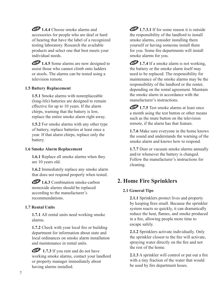**1.4.4** Choose smoke alarms and accessories for people who are deaf or hard of hearing that have the label of a recognized testing laboratory. Research the available products and select one that best meets your individual needs.

**1.4.5** Some alarms are now designed to assist those who cannot climb onto ladders or stools. The alarms can be tested using a television remote.

#### **1.5 Battery Replacement**

**1.5.1** Smoke alarms with nonreplaceable (long-life) batteries are designed to remain effective for up to 10 years. If the alarm chirps, warning that the battery is low, replace the entire smoke alarm right away.

**1.5.2** For smoke alarms with any other type of battery, replace batteries at least once a year. If that alarm chirps, replace only the battery.

#### **1.6 Smoke Alarm Replacement**

**1.6.1** Replace all smoke alarms when they are 10 years old.

**1.6.2** Immediately replace any smoke alarm that does not respond properly when tested.

**1.6.3** Combination smoke-carbon monoxide alarms should be replaced according to the manufacturer's recommendations.

#### **1.7 Rental Units**

**1.7.1** All rental units need working smoke alarms.

**1.7.2** Check with your local fire or building department for information about state and local ordinances on smoke alarm installation and maintenance in rental units.

**1.7.3** If you rent and do not have working smoke alarms, contact your landlord or property manager immediately about having alarms installed.

**1.7.3.1** If for some reason it is outside the responsibility of the landlord to install smoke alarms, consider installing them yourself or having someone install them for you. Some fire departments will install smoke alarms for you.

**1.7.4** If a smoke alarm is not working, the battery or the smoke alarm itself may need to be replaced. The responsibility for maintenance of the smoke alarms may be the responsibility of the landlord or the renter, depending on the rental agreement. Maintain the smoke alarm in accordance with the manufacturer's instructions.

**1.7.5** Test smoke alarms at least once a month using the test button or other means such as the mute button on the television remote, if the alarm has that feature.

**1.7.6** Make sure everyone in the home knows the sound and understands the warning of the smoke alarm and knows how to respond.

**1.7.7** Dust or vacuum smoke alarms annually and/or whenever the battery is changed. Follow the manufacturer's instructions for cleaning.

# **2. Home Fire Sprinklers**

#### **2.1 General Tips**

**2.1.1** Sprinklers protect lives and property by keeping fires small. Because the sprinkler system reacts so quickly, it can dramatically reduce the heat, flames, and smoke produced in a fire, allowing people more time to escape safely.

**2.1.2** Sprinklers activate individually. Only the sprinkler closest to the fire will activate, spraying water directly on the fire and not the rest of the home.

**2.1.3** A sprinkler will control or put out a fire with a tiny fraction of the water that would be used by fire department hoses.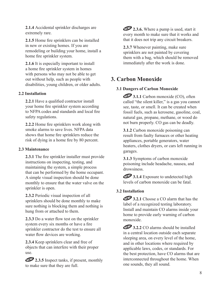**2.1.4** Accidental sprinkler discharges are extremely rare.

**2.1.5** Home fire sprinklers can be installed in new or existing homes. If you are remodeling or building your home, install a home fire sprinkler system.

**2.1.6** It is especially important to install a home fire sprinkler system in homes with persons who may not be able to get out without help, such as people with disabilities, young children, or older adults.

#### **2.2 Installation**

**2.2.1** Have a qualified contractor install your home fire sprinkler system according to NFPA codes and standards and local fire safety regulations.

**2.2.2** Home fire sprinklers work along with smoke alarms to save lives. NFPA data shows that home fire sprinklers reduce the risk of dying in a home fire by 80 percent.

#### **2.3 Maintenance**

**2.3.1** The fire sprinkler installer must provide instructions on inspecting, testing, and maintaining the system, a simple process that can be performed by the home occupant. A simple visual inspection should be done monthly to ensure that the water valve on the sprinkler is open.

**2.3.2** Periodic visual inspection of all sprinklers should be done monthly to make sure nothing is blocking them and nothing is hung from or attached to them.

**2.3.3** Do a water flow test on the sprinkler system every six months or have a fire sprinkler contractor do the test to ensure all water flow devices are working.

**2.3.4** Keep sprinklers clear and free of objects that can interfere with their proper use.

**2.3.5** Inspect tanks, if present, monthly to make sure that they are full.

**2.3.6.** Where a pump is used, start it every month to make sure that it works and that it does not trip any circuit breakers.

**2.3.7** Whenever painting, make sure sprinklers are not painted by covering them with a bag, which should be removed immediately after the work is done.

# **3. Carbon Monoxide**

#### **3.1 Dangers of Carbon Monoxide**

**3.1.1** Carbon monoxide (CO), often called "the silent killer," is a gas you cannot see, taste, or smell. It can be created when fossil fuels, such as kerosene, gasoline, coal, natural gas, propane, methane, or wood do not burn properly. CO gas can be deadly.

**3.1.2** Carbon monoxide poisoning can result from faulty furnaces or other heating appliances, portable generators, water heaters, clothes dryers, or cars left running in garages.

**3.1.3** Symptoms of carbon monoxide poisoning include headache, nausea, and drowsiness.

**3.1.4** Exposure to undetected high levels of carbon monoxide can be fatal.

#### **3.2 Installation**

**3.2.1** Choose a CO alarm that has the label of a recognized testing laboratory. Install and maintain CO alarms inside your home to provide early warning of carbon monoxide.

**13.2.2** CO alarms should be installed in a central location outside each separate sleeping area, on every level of the home, and in other locations where required by applicable laws, codes, or standards. For the best protection, have CO alarms that are interconnected throughout the home. When one sounds, they all sound.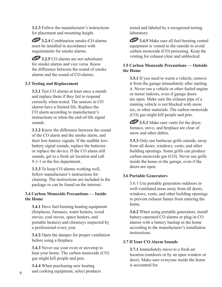**3.2.3** Follow the manufacturer's instructions for placement and mounting height.

**3.2.4** Combination smoke-CO alarms must be installed in accordance with requirements for smoke alarms.

**3.2.5** CO alarms are not substitutes for smoke alarms and vice versa. Know the difference between the sound of smoke alarms and the sound of CO alarms.

#### **3.3 Testing and Replacement**

**3.3.1** Test CO alarms at least once a month and replace them if they fail to respond correctly when tested. The sensors in CO alarms have a limited life. Replace the CO alarm according to manufacturer's instructions or when the end-of-life signal sounds.

**3.3.2** Know the difference between the sound of the CO alarm and the smoke alarm, and their low-battery signals. If the audible lowbattery signal sounds, replace the batteries or replace the device. If the CO alarm still sounds, get to a fresh air location and call 9-1-1 or the fire department.

**3.3.3** To keep CO alarms working well, follow manufacturer's instructions for cleaning. The instructions are included in the package or can be found on the internet.

#### **3.4 Carbon Monoxide Precautions — Inside the Home**

**3.4.1** Have fuel-burning heating equipment (fireplaces, furnaces, water heaters, wood stoves, coal stoves, space heaters, and portable heaters) and chimneys inspected by a professional every year.

**3.4.2** Open the damper for proper ventilation before using a fireplace.

**3.4.3** Never use your oven or stovetop to heat your home. The carbon monoxide (CO) gas might kill people and pets.

**3.4.4** When purchasing new heating and cooking equipment, select products tested and labeled by a recognized testing laboratory.

**3.4.5** Make sure all fuel-burning vented equipment is vented to the outside to avoid carbon monoxide (CO) poisoning. Keep the venting for exhaust clear and unblocked.

#### **3.5 Carbon Monoxide Precautions — Outside the Home**

**3.5.1** If you need to warm a vehicle, remove it from the garage immediately after starting it. Never run a vehicle or other fueled engine or motor indoors, even if garage doors are open. Make sure the exhaust pipe of a running vehicle is not blocked with snow, ice, or other materials. The carbon monoxide (CO) gas might kill people and pets.

**3.5.2** Make sure vents for the dryer, furnace, stove, and fireplace are clear of snow and other debris.

**3.5.3** Only use barbecue grills outside, away from all doors, windows, vents, and other building openings. Some grills can produce carbon monoxide gas (CO). Never use grills inside the home or the garage, even if the doors are open.

#### **3.6 Portable Generators**

3.6.1 Use portable generators outdoors in well-ventilated areas away from all doors, windows, vents, and other building openings to prevent exhaust fumes from entering the home.

**3.6.2** When using portable generators, install battery-operated CO alarms or plug-in CO alarms with a battery backup in the home according to the manufacturer's installation instructions.

#### **3.7 If Your CO Alarm Sounds**

**3.7.1** Immediately move to a fresh air location (outdoors or by an open window or door). Make sure everyone inside the home is accounted for.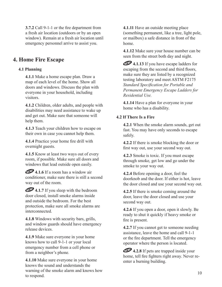**3.7.2** Call 9-1-1 or the fire department from a fresh air location (outdoors or by an open window). Remain at a fresh air location until emergency personnel arrive to assist you.

# **4. Home Fire Escape**

#### **4.1 Planning**

**4.1.1** Make a home escape plan. Draw a map of each level of the home. Show all doors and windows. Discuss the plan with everyone in your household, including visitors.

**4.1.2** Children, older adults, and people with disabilities may need assistance to wake up and get out. Make sure that someone will help them.

**4.1.3** Teach your children how to escape on their own in case you cannot help them.

**4.1.4** Practice your home fire drill with overnight guests.

**4.1.5** Know at least two ways out of every room, if possible. Make sure all doors and windows that lead outside open easily.

**4.1.6** If a room has a window air conditioner, make sure there is still a second way out of the room.

**4.1.7** If you sleep with the bedroom door closed, install smoke alarms inside and outside the bedroom. For the best protection, make sure all smoke alarms are interconnected.

**4.1.8** Windows with security bars, grills, and window guards should have emergency release devices.

**4.1.9** Make sure everyone in your home knows how to call 9-1-1 or your local emergency number from a cell phone or from a neighbor's phone.

**4.1.10** Make sure everyone in your home knows the sound and understands the warning of the smoke alarm and knows how to respond.

**4.1.11** Have an outside meeting place (something permanent, like a tree, light pole, or mailbox) a safe distance in front of the home.

**4.1.12** Make sure your house number can be seen from the street both day and night.

**4.1.13** If you have escape ladders for escaping from the second and third floors, make sure they are listed by a recognized testing laboratory and meet ASTM F2175 *Standard Specification for Portable and Permanent Emergency Escape Ladders for Residential Use.* 

**4.1.14** Have a plan for everyone in your home who has a disability.

#### **4.2 If There Is a Fire**

**4.2.1** When the smoke alarm sounds, get out fast. You may have only seconds to escape safely.

**4.2.2** If there is smoke blocking the door or first way out, use your second way out.

**4.2.3** Smoke is toxic. If you must escape through smoke, get low and go under the smoke to your way out.

**4.2.4** Before opening a door, feel the doorknob and the door. If either is hot, leave the door closed and use your second way out.

**4.2.5** If there is smoke coming around the door, leave the door closed and use your second way out.

**4.2.6** If you open a door, open it slowly. Be ready to shut it quickly if heavy smoke or fire is present.

**4.2.7** If you cannot get to someone needing assistance, leave the home and call 9-1-1 or the fire department. Tell the emergency operator where the person is located.

**4.2.8** If pets are trapped inside your home, tell fire fighters right away. Never reenter a burning building.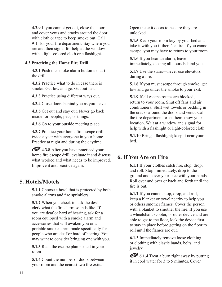**4.2.9** If you cannot get out, close the door and cover vents and cracks around the door with cloth or tape to keep smoke out. Call 9-1-1or your fire department. Say where you are and then signal for help at the window with a light-colored cloth or a flashlight.

#### **4.3 Practicing the Home Fire Drill**

**4.3.1** Push the smoke alarm button to start the drill.

**4.3.2** Practice what to do in case there is smoke. Get low and go. Get out fast.

**4.3.3** Practice using different ways out.

**4.3.4** Close doors behind you as you leave.

**4.3.5** Get out and stay out. Never go back inside for people, pets, or things.

**4.3.6** Go to your outside meeting place.

**4.3.7** Practice your home fire escape drill twice a year with everyone in your home. Practice at night and during the daytime.

**4.3.8** After you have practiced your home fire escape drill, evaluate it and discuss what worked and what needs to be improved. Improve it and practice again.

# **5. Hotels/Motels**

**5.1.1** Choose a hotel that is protected by both smoke alarms and fire sprinklers.

**5.1.2** When you check in, ask the desk clerk what the fire alarm sounds like. If you are deaf or hard of hearing, ask for a room equipped with a smoke alarm and accessories that will awaken you or a portable smoke alarm made specifically for people who are deaf or hard of hearing. You may want to consider bringing one with you.

**5.1.3** Read the escape plan posted in your room.

**5.1.4** Count the number of doors between your room and the nearest two fire exits.

Open the exit doors to be sure they are unlocked.

**5.1.5** Keep your room key by your bed and take it with you if there's a fire. If you cannot escape, you may have to return to your room.

**5.1.6** If you hear an alarm, leave immediately, closing all doors behind you.

**5.1.7** Use the stairs—never use elevators during a fire.

**5.1.8** If you must escape through smoke, get low and go under the smoke to your exit.

**5.1.9** If all escape routes are blocked, return to your room. Shut off fans and air conditioners. Stuff wet towels or bedding in the cracks around the doors and vents. Call the fire department to let them know your location. Wait at a window and signal for help with a flashlight or light-colored cloth.

**5.1.10** Bring a flashlight; keep it near your bed.

# **6. If You Are on Fire**

**6.1.1** If your clothes catch fire, stop, drop, and roll. Stop immediately, drop to the ground and cover your face with your hands. Roll over and over or back and forth until the fire is out.

**6.1.2** If you cannot stop, drop, and roll, keep a blanket or towel nearby to help you or others smother flames. Cover the person with a blanket to smother the fire. If you use a wheelchair, scooter, or other device and are able to get to the floor, lock the device first to stay in place before getting on the floor to roll until the flames are out.

**6.1.3** Immediately remove loose clothing or clothing with elastic bands, belts, and jewelry.

**6.1.4** Treat a burn right away by putting it in cool water for 3 to 5 minutes. Cover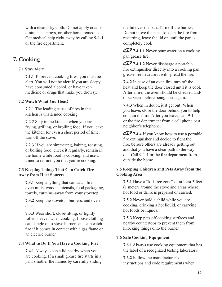with a clean, dry cloth. Do not apply creams, ointments, sprays, or other home remedies. Get medical help right away by calling 9-1-1 or the fire department.

## **7. Cooking**

#### **7.1 Stay Alert**

**7.1.1** To prevent cooking fires, you must be alert. You will not be alert if you are sleepy, have consumed alcohol, or have taken medicine or drugs that make you drowsy.

#### **7.2 Watch What You Heat!**

7.2.1 The leading cause of fires in the kitchen is unattended cooking.

7.2.2 Stay in the kitchen when you are frying, grilling, or broiling food. If you leave the kitchen for even a short period of time, turn off the stove.

7.2.3 If you are simmering, baking, roasting, or boiling food, check it regularly, remain in the home while food is cooking, and use a timer to remind you that you're cooking.

#### **7.3 Keeping Things That Can Catch Fire Away from Heat Sources**

**7.3.1** Keep anything that can catch fire oven mitts, wooden utensils, food packaging, towels, curtains–away from your stovetop.

**7.3.2** Keep the stovetop, burners, and oven clean.

**7.3.3** Wear short, close-fitting, or tightly rolled sleeves when cooking. Loose clothing can dangle onto stove burners and can catch fire if it comes in contact with a gas flame or an electric burner.

#### **7.4 What to Do If You Have a Cooking Fire**

**7.4.1** Always keep a lid nearby when you are cooking. If a small grease fire starts in a pan, smother the flames by carefully sliding the lid over the pan. Turn off the burner. Do not move the pan. To keep the fire from restarting, leave the lid on until the pan is completely cool.

**THE 7.4.1.1** Never pour water on a cooking pan grease fire.

**THE 7.4.1.2** Never discharge a portable fire extinguisher directly into a cooking pan grease fire because it will spread the fire.

**7.4.2** In case of an oven fire, turn off the heat and keep the door closed until it is cool. After a fire, the oven should be checked and/ or serviced before being used again.

**7.4.3** When in doubt, just get out! When you leave, close the door behind you to help contain the fire. After you leave, call 9-1-1 or the fire department from a cell phone or a neighbor's telephone.

**THE 7.4.4** If you know how to use a portable fire extinguisher and decide to fight the fire, be sure others are already getting out and that you have a clear path to the way out. Call 9-1-1 or the fire department from outside the home.

#### **7.5 Keeping Children and Pets Away from the Cooking Area**

**7.5.1** Have a "kid-free zone" of at least 3 feet (1 meter) around the stove and areas where hot food or drink is prepared or carried.

**7.5.2** Never hold a child while you are cooking, drinking a hot liquid, or carrying hot foods or liquids.

**7.5.3** Keep pets off cooking surfaces and nearby countertops to prevent them from knocking things onto the burner.

#### **7.6 Safe Cooking Equipment**

**7.6.1** Always use cooking equipment that has the label of a recognized testing laboratory.

**7.6.2** Follow the manufacturer's instructions and code requirements when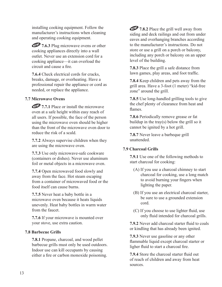installing cooking equipment. Follow the manufacturer's instructions when cleaning and operating cooking equipment.

**THE 7.6.3** Plug microwave ovens or other cooking appliances directly into a wall outlet. Never use an extension cord for a cooking appliance—it can overload the circuit and cause a fire.

**7.6.4** Check electrical cords for cracks, breaks, damage, or overheating. Have a professional repair the appliance or cord as needed, or replace the appliance.

#### **7.7 Microwave Ovens**

**THE 7.7.1** Place or install the microwave oven at a safe height within easy reach of all users. If possible, the face of the person using the microwave oven should be higher than the front of the microwave oven door to reduce the risk of a scald.

**7.7.2** Always supervise children when they are using the microwave oven.

**7.7.3** Use only microwave-safe cookware (containers or dishes). Never use aluminum foil or metal objects in a microwave oven.

**7.7.4** Open microwaved food slowly and away from the face. Hot steam escaping from a container of microwaved food or the food itself can cause burns.

**7.7.5** Never heat a baby bottle in a microwave oven because it heats liquids unevenly. Heat baby bottles in warm water from the faucet.

**7.7.6** If your microwave is mounted over your stove, use extra caution.

#### **7.8 Barbecue Grills**

**7.8.1** Propane, charcoal, and wood pellet barbecue grills must only be used outdoors. Indoor use can kill occupants by causing either a fire or carbon monoxide poisoning.

**THE 7.8.2** Place the grill well away from siding and deck railings and out from under eaves and overhanging branches according to the manufacturer's instructions. Do not store or use a grill on a porch or balcony, including any porch or balcony on an upper level of the building.

**7.8.3** Place the grill a safe distance from lawn games, play areas, and foot traffic.

**7.8.4** Keep children and pets away from the grill area. Have a 3-foot (1 meter) "kid-free zone" around the grill.

**7.8.5** Use long-handled grilling tools to give the chef plenty of clearance from heat and flames.

**7.8.6** Periodically remove grease or fat buildup in the tray(s) below the grill so it cannot be ignited by a hot grill.

**7.8.7** Never leave a barbeque grill unattended.

#### **7.9 Charcoal Grills**

**7.9.1** Use one of the following methods to start charcoal for cooking:

- (A) If you use a charcoal chimney to start charcoal for cooking, use a long match to avoid burning your fingers when lighting the paper.
- (B) If you use an electrical charcoal starter, be sure to use a grounded extension cord.
- (C) If you choose to use lighter fluid, use only fluid intended for charcoal grills.

**7.9.2** Never add charcoal starter fluid to coals or kindling that has already been ignited.

**7.9.3** Never use gasoline or any other flammable liquid except charcoal starter or ligher fluid to start a charcoal fire.

**7.9.4** Store the charcoal starter fluid out of reach of children and away from heat sources.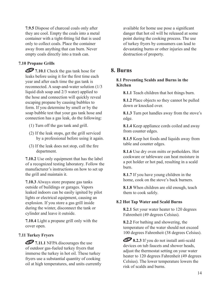**7.9.5** Dispose of charcoal coals only after they are cool. Empty the coals into a metal container with a tight-fitting lid that is used only to collect coals. Place the container away from anything that can burn. Never empty coals directly into a trash can.

#### **7.10 Propane Grills**

**THE 7.10.1** Check the gas tank hose for leaks before using it for the first time each year and after each time the gas tank is reconnected. A soap-and-water solution (1/3 liquid dish soap and 2/3 water) applied to the hose and connection will quickly reveal escaping propane by causing bubbles to form. If you determine by smell or by the soap bubble test that your gas tank hose and connection has a gas leak, do the following:

- (1) Turn off the gas tank and grill.
- (2) If the leak stops, get the grill serviced by a professional before using it again.
- (3) If the leak does not stop, call the fire department.

**7.10.2** Use only equipment that has the label of a recognized testing laboratory. Follow the manufacturer's instructions on how to set up the grill and maintain it.

**7.10.3** Always store propane gas tanks outside of buildings or garages. Vapors leaked indoors can be easily ignited by pilot lights or electrical equipment, causing an explosion. If you store a gas grill inside during the winter, disconnect the tank or cylinder and leave it outside.

**7.10.4** Light a propane grill only with the cover open.

#### **7.11 Turkey Fryers**

**THE 7.11.1** NFPA discourages the use of outdoor gas-fueled turkey fryers that immerse the turkey in hot oil. These turkey fryers use a substantial quantity of cooking oil at high temperatures, and units currently available for home use pose a significant danger that hot oil will be released at some point during the cooking process. The use of turkey fryers by consumers can lead to devastating burns or other injuries and the destruction of property.

### **8. Burns**

#### **8.1 Preventing Scalds and Burns in the Kitchen**

**8.1.1** Teach children that hot things burn.

**8.1.2** Place objects so they cannot be pulled down or knocked over.

**8.1.3** Turn pot handles away from the stove's edge.

**8.1.4** Keep appliance cords coiled and away from counter edges.

**8.1.5** Keep hot foods and liquids away from table and counter edges.

**8.1.6** Use dry oven mitts or potholders. Hot cookware or tableware can heat moisture in a pot holder or hot pad, resulting in a scald burn.

**8.1.7** If you have young children in the home, cook on the stove's back burners.

**8.1.8** When children are old enough, teach them to cook safely.

#### **8.2 Hot Tap Water and Scald Burns**

**8.2.1** Set your water heater to 120 degrees Fahrenheit (49 degrees Celsius).

**8.2.2** For bathing and showering, the temperature of the water should not exceed 100 degrees Fahrenheit (38 degrees Celsius).

**8.2.3** If you do not install anti-scald devices on tub faucets and shower heads, adjust the thermostat setting on your water heater to 120 degrees Fahrenheit (49 degrees Celsius). The lower temperature lowers the risk of scalds and burns.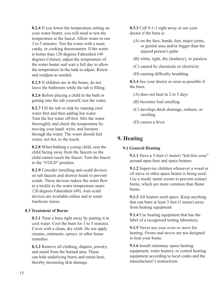**8.2.4** If you lower the temperature setting on your water heater, you will need to test the temperature at the faucet. Allow water to run 3 to 5 minutes. Test the water with a meat, candy, or cooking thermometer. If the water is hotter than 120 degrees Fahrenheit (49 degrees Celsius), adjust the temperature of the water heater and wait a full day to allow the temperature in the tank to adjust. Retest and readjust as needed.

**8.2.5** If children are in the home, do not leave the bathroom while the tub is filling.

**8.2.6** Before placing a child in the bath or getting into the tub yourself, test the water.

**8.2.7** Fill the tub or sink by running cool water first and then adding hot water. Turn the hot water off first. Mix the water thoroughly and check the temperature by moving your hand, wrist, and forearm through the water. The water should feel warm, not hot, to the touch.

**8.2.8** When bathing a young child, seat the child facing away from the faucets so the child cannot reach the faucet. Turn the faucet to the "COLD" position.

**8.2.9** Consider installing anti-scald devices on tub faucets and shower heads to prevent scalds. These devices reduce the water flow to a trickle as the water temperature nears 120 degrees Fahrenheit (49). Anti-scald devices are available online and in some hardware stores.

#### **8.3 Treatment of Burns**

**8.3.1** Treat a burn right away by putting it in cool water. Cool the burn for 3 to 5 minutes. Cover with a clean, dry cloth. Do not apply creams, ointments, sprays, or other home remedies.

**8.3.2** Remove all clothing, diapers, jewelry, and metal from the burned area. These can hide underlying burns and retain heat, thereby increasing skin damage.

**8.3.3** Call 9-1-1 right away or see your doctor if the burn is:

- (A) on the face, hands, feet, major joints, or genital area and/or bigger than the injured person's palm
- (B) white, tight, dry (leathery), or painless
- (C) caused by chemicals or electricity
- (D) causing difficulty breathing

**8.3.4** See your doctor as soon as possible if the burn:

- (A) does not heal in 2 to 3 days
- (B) becomes foul smelling
- (C) develops thick drainage, redness, or swelling
- (D) causes a fever

# **9. Heating**

#### **9.1 General Heating**

**9.1.1** Have a 3-foot (1 meter) "kid-free zone" around open fires and space heaters.

**9.1.2** Supervise children whenever a wood or oil stove or other space heater is being used. Use a sturdy metal screen to prevent contact burns, which are more common than flame burns.

**9.1.3** All heaters need space. Keep anything that can burn at least 3 feet (1 meter) away from heating equipment.

**9.1.4** Use heating equipment that has the label of a recognized testing laboratory.

**9.1.5** Never use your oven or stove for heating. Ovens and stoves are not designed to heat your home.

**9.1.6** Install stationary space heating equipment, water heaters, or central heating equipment according to local codes and the manufacturer's instructions.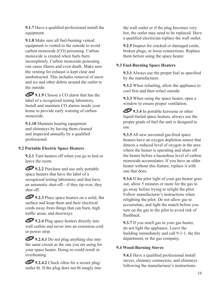**9.1.7** Have a qualified professional install the equipment.

**9.1.8** Make sure all fuel-burning vented equipment is vented to the outside to avoid carbon monoxide (CO) poisoning. Carbon monoxide is created when fuels burn incompletely. Carbon monoxide poisoning can cause illness and even death. Make sure the venting for exhaust is kept clear and unobstructed. This includes removal of snow and ice and other debris around the outlet to the outside.

**19.1.9** Choose a CO alarm that has the label of a recognized testing laboratory. Install and maintain CO alarms inside your home to provide early warning of carbon monoxide.

**9.1.10** Maintain heating equipment and chimneys by having them cleaned and inspected annually by a qualified professional.

#### **9.2 Portable Electric Space Heaters**

**9.2.1** Turn heaters off when you go to bed or leave the room.

**19.2.2** Purchase and use only portable space heaters that have the label of a recognized testing laboratory and that have an automatic shut-off—if they tip over, they shut off.

**19.2.3** Place space heaters on a solid, flat surface and keep them and their electrical cords away from things that can burn, high traffic areas, and doorways.

**19.2.4** Plug space heaters directly into wall outlets and never into an extension cord or power strip.

**19.2.4.1** Do not plug anything else into the same circuit as the one you are using for your space heater. Doing so could result in overheating.

**19.2.4.2** Check often for a secure plug/ outlet fit. If the plug does not fit snugly into the wall outlet or if the plug becomes very hot, the outlet may need to be replaced. Have a qualified electrician replace the wall outlet.

**9.2.5** Inspect for cracked or damaged cords, broken plugs, or loose connections. Replace them before using the space heater.

#### **9.3 Fuel-Burning Space Heaters**

**9.3.1** Always use the proper fuel as specified by the manufacturer.

**9.3.2** When refueling, allow the appliance to cool first and then refuel outside.

**9.3.3** When using the space heater, open a window to ensure proper ventilation.

**19.3.4** In portable kerosene or other liquid-fueled space heaters, always use the proper grade of fuel the unit is designed to use.

**9.3.5** All new unvented gas-fired space heaters have an oxygen depletion sensor that detects a reduced level of oxygen in the area where the heater is operating and shuts off the heater before a hazardous level of carbon monoxide accumulates. If you have an older heater without this feature, replace it with one that does.

**9.3.6** If the pilot light of your gas heater goes out, allow 5 minutes or more for the gas to go away before trying to relight the pilot. Follow manufacturer's instructions when relighting the pilot. Do not allow gas to accumulate, and light the match before you turn on the gas to the pilot to avoid risk of flashback.

**9.3.7** If you smell gas in your gas heater, do not light the appliance. Leave the building immediately and call 9-1-1, the fire department, or the gas company.

#### **9.4 Wood-Burning Stoves**

**9.4.1** Have a qualified professional install stoves, chimney connectors, and chimneys following the manufacturer's instructions.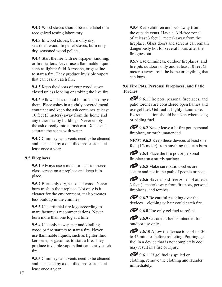**9.4.2** Wood stoves should bear the label of a recognized testing laboratory.

**9.4.3** In wood stoves, burn only dry, seasoned wood. In pellet stoves, burn only dry, seasoned wood pellets.

**9.4.4** Start the fire with newspaper, kindling, or fire starters. Never use a flammable liquid, such as lighter fluid, kerosene, or gasoline, to start a fire. They produce invisible vapors that can easily catch fire.

**9.4.5** Keep the doors of your wood stove closed unless loading or stoking the live fire.

**9.4.6** Allow ashes to cool before disposing of them. Place ashes in a tightly covered metal container and keep the ash container at least 10 feet (3 meters) away from the home and any other nearby buildings. Never empty the ash directly into a trash can. Douse and saturate the ashes with water.

**9.4.7** Chimneys and vents need to be cleaned and inspected by a qualified professional at least once a year.

#### **9.5 Fireplaces**

**9.5.1** Always use a metal or heat-tempered glass screen on a fireplace and keep it in place.

**9.5.2** Burn only dry, seasoned wood. Never burn trash in the fireplace. Not only is it cleaner for the environment, it also creates less buildup in the chimney.

**9.5.3** Use artificial fire logs according to manufacturer's recommendations. Never burn more than one log at a time.

**9.5.4** Use only newspaper and kindling wood or fire starters to start a fire. Never use flammable liquids, such as lighter fluid, kerosene, or gasoline, to start a fire. They produce invisible vapors that can easily catch fire.

**9.5.5** Chimneys and vents need to be cleaned and inspected by a qualified professional at least once a year.

**9.5.6** Keep children and pets away from the outside vents. Have a "kid-free zone" of at least 3 feet (1 meter) away from the fireplace. Glass doors and screens can remain dangerously hot for several hours after the fire goes out.

**9.5.7** Use chimineas, outdoor fireplaces, and fire pits outdoors only and at least 10 feet (3 meters) away from the home or anything that can burn.

#### **9.6 Fire Pots, Personal Fireplaces, and Patio Torches**

**19.6.1** Fire pots, personal fireplaces, and patio torches are considered open flames and use gel fuel. Gel fuel is highly flammable. Extreme caution should be taken when using or adding fuel.

**19.6.2** Never leave a lit fire pot, personal fireplace, or torch unattended.

**NEW! 9.6.3** Keep these devices at least one foot (1/3 meter) from anything that can burn.

**19.6.4** Place the fire pot or personal fireplace on a sturdy surface.

**19.6.5** Make sure patio torches are secure and not in the path of people or pets.

**19.6.6** Have a "kid-free zone" of at least 3 feet (1 meter) away from fire pots, personal fireplaces, and torches.

**19.6.7** Be careful reaching over the devices—clothing or hair could catch fire.

**19.6.8** Use only gel fuel to refuel.

**19.6.9** Citronella fuel is intended for outdoor use only.

**9.6.10** Allow the device to cool for 30 to 45 minutes before refueling. Pouring gel fuel in a device that is not completely cool may result in a fire or injury.

**19.6.11** If gel fuel is spilled on clothing, remove the clothing and launder immediately.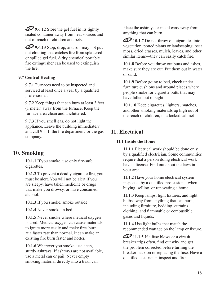**9.6.12** Store the gel fuel in its tightly sealed container away from heat sources and out of reach of children and pets.

**19.6.13** Stop, drop, and roll may not put out clothing that catches fire from splattered or spilled gel fuel. A dry chemical portable fire extinguisher can be used to extinguish the fire.

#### **9.7 Central Heating**

**9.7.1** Furnaces need to be inspected and serviced at least once a year by a qualified professional.

**9.7.2** Keep things that can burn at least 3 feet (1 meter) away from the furnace. Keep the furnace area clean and uncluttered.

**9.7.3** If you smell gas, do not light the appliance. Leave the building immediately and call 9-1-1, the fire department, or the gas company.

# **10. Smoking**

**10.1.1** If you smoke, use only fire-safe cigarettes.

**10.1.2** To prevent a deadly cigarette fire, you must be alert. You will not be alert if you are sleepy, have taken medicine or drugs that make you drowsy, or have consumed alcohol.

**10.1.3** If you smoke, smoke outside.

**10.1.4** Never smoke in bed.

**10.1.5** Never smoke where medical oxygen is used. Medical oxygen can cause materials to ignite more easily and make fires burn at a faster rate than normal. It can make an existing fire burn faster and hotter.

**10.1.6** Wherever you smoke, use deep, sturdy ashtrays. If ashtrays are not available, use a metal can or pail. Never empty smoking material directly into a trash can.

Place the ashtrays or metal cans away from anything that can burn.

**10.1.7** Do not throw out cigarettes into vegetation, potted plants or landscaping, peat moss, dried grasses, mulch, leaves, and other similar items—they can easily catch fire.

**10.1.8** Before you throw out butts and ashes, make sure they are out. Put them out in water or sand.

**10.1.9** Before going to bed, check under furniture cushions and around places where people smoke for cigarette butts that may have fallen out of sight.

**10.1.10** Keep cigarettes, lighters, matches, and other smoking materials up high out of the reach of children, in a locked cabinet

# **11. Electrical**

#### **11.1 Inside the Home**

**11.1.1** Electrical work should be done only by a qualified electrician. Some communities require that a person doing electrical work have a license. Find out about the laws in your area.

**11.1.2** Have your home electrical system inspected by a qualified professional when buying, selling, or renovating a home.

**11.1.3** Keep lamps, light fixtures, and light bulbs away from anything that can burn, including furniture, bedding, curtains, clothing, and flammable or combustible gases and liquids.

**11.1.4** Use light bulbs that match the recommended wattage on the lamp or fixture.

**11.1.5** If a fuse blows or a circuit breaker trips often, find out why and get the problem corrected before turning the breaker back on or replacing the fuse. Have a qualified electrician inspect and fix it.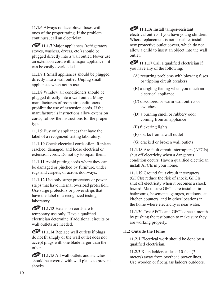**11.1.6** Always replace blown fuses with ones of the proper rating. If the problem continues, call an electrician.

**11.1.7** Major appliances (refrigerators, stoves, washers, dryers, etc.) should be plugged directly into a wall outlet. Never use an extension cord with a major appliance—it can be easily overloaded.

**11.1.7.1** Small appliances should be plugged directly into a wall outlet. Unplug small appliances when not in use.

**11.1.8** Window air conditioners should be plugged directly into a wall outlet. Many manufacturers of room air conditioners prohibit the use of extension cords. If the manufacturer's instructions allow extension cords, follow the instructions for the proper type.

**11.1.9** Buy only appliances that have the label of a recognized testing laboratory.

**11.1.10** Check electrical cords often. Replace cracked, damaged, and loose electrical or extension cords. Do not try to repair them.

**11.1.11** Avoid putting cords where they can be damaged or pinched by furniture, under rugs and carpets, or across doorways.

**11.1.12** Use only surge protectors or power strips that have internal overload protection. Use surge protectors or power strips that have the label of a recognized testing laboratory.

**11.1.13** Extension cords are for temporary use only. Have a qualified electrician determine if additional circuits or wall outlets are needed.

**11.1.14** Replace wall outlets if plugs do not fit snugly or the wall outlet does not accept plugs with one blade larger than the other.

**11.1.15** All wall outlets and switches should be covered with wall plates to prevent shocks.

**11.1.16** Install tamper-resistant electrical outlets if you have young children. Where replacement is not possible, install new protective outlet covers, which do not allow a child to insert an object into the wall outlet.

**11.1.17** Call a qualified electrician if you have any of the following:

- (A) recurring problems with blowing fuses or tripping circuit breakers
- (B) a tingling feeling when you touch an electrical appliance
- (C) discolored or warm wall outlets or switches
- (D) a burning smell or rubbery odor coming from an appliance
- (E) flickering lights
- (F) sparks from a wall outlet
- (G) cracked or broken wall outlets

**11.1.18** Arc fault circuit interrupters (AFCIs) shut off electricity when a dangerous condition occurs. Have a qualified electrician install AFCIs in your home.

**11.1.19** Ground fault circuit interrupters (GFCIs) reduce the risk of shock. GFCIs shut off electricity when it becomes a shock hazard. Make sure GFCIs are installed in bathrooms, basements, garages, outdoors, at kitchen counters, and in other locations in the home where electricity is near water.

**11.1.20** Test AFCIs and GFCIs once a month by pushing the test button to make sure they are working properly.

#### **11.2 Outside the Home**

**11.2.1** Electrical work should be done by a qualified electrician.

**11.2.2** Keep ladders at least 10 feet (3 meters) away from overhead power lines. Use wooden or fiberglass ladders outdoors.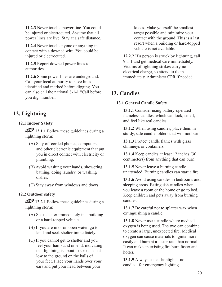**11.2.3** Never touch a power line. You could be injured or electrocuted. Assume that all power lines are live. Stay at a safe distance.

**11.2.4** Never touch anyone or anything in contact with a downed wire. You could be injured or electrocuted.

**11.2.5** Report downed power lines to authorities.

**11.2.6** Some power lines are underground. Call your local authority to have lines identified and marked before digging. You can also call the national 8-1-1 "Call before you dig" number.

# **12. Lightning**

#### **12.1 Indoor Safety**

**12.1.1** Follow these guidelines during a lightning storm:

- (A) Stay off corded phones, computers, and other electronic equipment that put you in direct contact with electricity or plumbing.
- (B) Avoid washing your hands, showering, bathing, doing laundry, or washing dishes.
- (C) Stay away from windows and doors.

#### **12.2 Outdoor safety**

**12.2.1** Follow these guidelines during a lightning storm:

- (A) Seek shelter immediately in a building or a hard-topped vehicle.
- (B) If you are in or on open water, go to land and seek shelter immediately.
- (C) If you cannot get to shelter and you feel your hair stand on end, indicating that lightning is about to strike, squat low to the ground on the balls of your feet. Place your hands over your ears and put your head between your

knees. Make yourself the smallest target possible and minimize your contact with the ground. This is a last resort when a building or hard-topped vehicle is not available.

**12.2.2** If a person is struck by lightning, call 9-1-1 and get medical care immediately. Victims of lightning strikes carry no electrical charge, so attend to them immediately. Administer CPR if needed.

# **13. Candles**

#### **13.1 General Candle Safety**

**13.1.1** Consider using battery-operated flameless candles, which can look, smell, and feel like real candles.

**13.1.2** When using candles, place them in sturdy, safe candleholders that will not burn.

**13.1.3** Protect candle flames with glass chimneys or containers.

**13.1.4** Keep candles at least 12 inches (30 centimeters) from anything that can burn.

**13.1.5** Never leave a burning candle unattended. Burning candles can start a fire.

**13.1.6** Avoid using candles in bedrooms and sleeping areas. Extinguish candles when you leave a room or the home or go to bed. Keep children and pets away from burning candles.

**13.1.7** Be careful not to splatter wax when extinguishing a candle.

**13.1.8** Never use a candle where medical oxygen is being used. The two can combine to create a large, unexpected fire. Medical oxygen can cause materials to ignite more easily and burn at a faster rate than normal. It can make an existing fire burn faster and hotter

**13.1.9** Always use a flashlight—not a candle—for emergency lighting.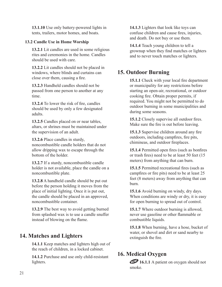**13.1.10** Use only battery-powered lights in tents, trailers, motor homes, and boats.

#### **13.2 Candle Use in Home Worship**

**13.2.1** Lit candles are used in some religious rites and ceremonies in the home. Candles should be used with care.

**13.2.2** Lit candles should not be placed in windows, where blinds and curtains can close over them, causing a fire.

**13.2.3** Handheld candles should not be passed from one person to another at any time.

**13.2.4** To lower the risk of fire, candles should be used by only a few designated adults.

**13.2.5** Candles placed on or near tables, altars, or shrines must be maintained under the supervision of an adult.

**13.2.6** Place candles in sturdy, noncombustible candle holders that do not allow dripping wax to escape through the bottom of the holder.

**13.2.7** If a sturdy, noncombustible candle holder is not available, place the candle on a noncombustible plate.

**13.2.8** A handheld candle should be put out before the person holding it moves from the place of initial lighting. Once it is put out, the candle should be placed in an approved, noncombustible container.

**13.2.9** The best way to avoid getting burned from splashed wax is to use a candle snuffer instead of blowing on the flame.

# **14. Matches and Lighters**

**14.1.1** Keep matches and lighters high out of the reach of children, in a locked cabinet.

**14.1.2** Purchase and use only child-resistant lighters.

**14.1.3** Lighters that look like toys can confuse children and cause fires, injuries, and death. Do not buy or use them.

**14.1.4** Teach young children to tell a grownup when they find matches or lighters and to never touch matches or lighters.

# **15. Outdoor Burning**

**15.1.1** Check with your local fire department or municipality for any restrictions before starting an open-air, recreational, or outdoor cooking fire. Obtain proper permits, if required. You might not be permitted to do outdoor burning in some municipalities and during some seasons.

**15.1.2** Closely supervise all outdoor fires. Make sure the fire is out before leaving.

**15.1.3** Supervise children around any fire outdoors, including campfires, fire pits, chimineas, and outdoor fireplaces.

**15.1.4** Permitted open fires (such as bonfires or trash fires) need to be at least 50 feet (15 meters) from anything that can burn.

**15.1.5** Permitted recreational fires (such as campfires or fire pits) need to be at least 25 feet (8 meters) away from anything that can burn.

**15.1.6** Avoid burning on windy, dry days. When conditions are windy or dry, it is easy for open burning to spread out of control.

**15.1.7** Where outdoor burning is allowed, never use gasoline or other flammable or combustible liquids.

**15.1.8** When burning, have a hose, bucket of water, or shovel and dirt or sand nearby to extinguish the fire.

# **16. Medical Oxygen**

**16.1.1** A patient on oxygen should not smoke.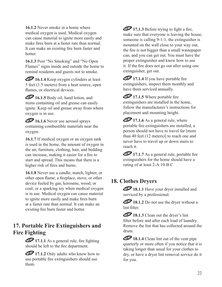**16.1.2** Never smoke in a home where medical oxygen is used. Medical oxygen can cause material to ignite more easily and make fires burn at a faster rate than normal. It can make an existing fire burn faster and hotter.

**16.1.3** Post "No Smoking" and "No Open Flames" signs inside and outside the home to remind residents and guests not to smoke.

**16.1.4** Keep oxygen cylinders at least 5 feet (1.5 meters) from a heat source, open flames, or electrical devices.

**16.1.5** Body oil, hand lotion, and items containing oil and grease can easily ignite. Keep oil and grease away from where oxygen is in use.

**16.1.6** Never use aerosol sprays containing combustible materials near the oxygen.

**16.1.7** If medical oxygen or an oxygen tank is used in the home, the amount of oxygen in the air, furniture, clothing, hair, and bedding can increase, making it easier for a fire to start and spread. This means that there is a higher risk of fires and burns.

**16.1.8** Never use a candle, match, lighter, or other open flame; a fireplace, stove, or other device fueled by gas, kerosene, wood, or coal; or a sparking toy when medical oxygen is in use. Medical oxygen can cause material to ignite more easily and make fires burn at a faster rate than normal. It can make an existing fire burn faster and hotter.

# **17. Portable Fire Extinguishers and Fire Fighting**

17.1.1 As a general rule, fire fighting should be left to the fire department.

**17.1.2** Only adults who know how to use portable fire extinguishers should use them.

**17.1.3** Before trying to fight a fire, make sure that everyone is leaving the house, someone is calling 9-1-1, the extinguisher is mounted on the wall close to your way out, the fire is not bigger than a small wastepaper can, and you can get out. You must have the proper extinguisher and know how to use it. If the fire does not go out after using one extinguisher, get out.

**17.1.4** If you have portable fire extinguishers, inspect them monthly and have them serviced annually.

**17.1.5** Where portable fire extinguishers are installed in the home, follow the manufacturer's instructions for placement and mounting height.

**17.1.6** As a general rule, where portable fire extinguishers are installed, a person should not have to travel far [more than 40 feet (12 meters)] to reach one and never have to travel up or down stairs to reach it.

**17.1.7** As a general rule, portable fire extinguishers for the home should have a rating of at least 2-A:10-B:C

# **18. Clothes Dryers**

18.1.1 Have your dryer installed and serviced by a professional.

**18.1.2** Do not use the dryer without a lint filter.

**18.1.3** Clean out the dryer's lint filter before and after each load of laundry. Remove the lint that has collected around the drum.

**18.1.4** Clean lint out of the vent pipe quarterly or more often if you notice that it is taking longer than usual for your clothes to dry, or have a dryer lint removal service do it for you.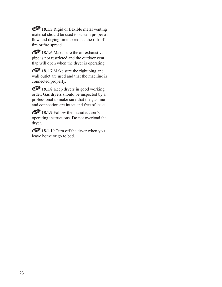**18.1.5** Rigid or flexible metal venting material should be used to sustain proper air flow and drying time to reduce the risk of fire or fire spread.

**18.1.6** Make sure the air exhaust vent pipe is not restricted and the outdoor vent flap will open when the dryer is operating.

**18.1.7** Make sure the right plug and wall outlet are used and that the machine is connected properly.

**18.1.8** Keep dryers in good working order. Gas dryers should be inspected by a professional to make sure that the gas line and connection are intact and free of leaks.

**18.1.9** Follow the manufacturer's operating instructions. Do not overload the dryer.

**18.1.10** Turn off the dryer when you leave home or go to bed.